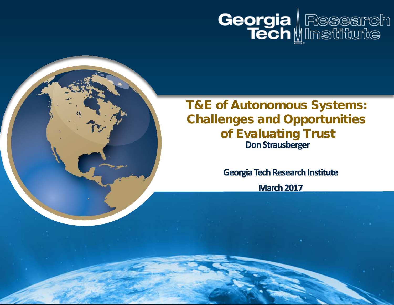

#### T&E of Autonomous Systems: Challenges and Opportunities of Evaluating Trust **Don Strausberger**

**Georgia Tech Research Institute**

**March 2017**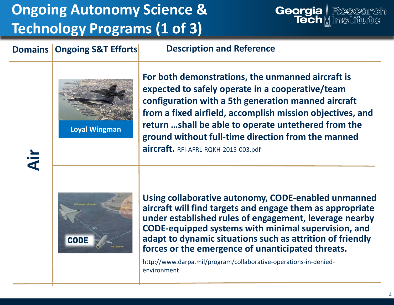# **Ongoing Autonomy Science & Technology Programs (1 of 3)**



#### **Domains Ongoing S&T Efforts**

**Description and Reference**



**Loyal Wingman**

**For both demonstrations, the unmanned aircraft is expected to safely operate in a cooperative/team configuration with a 5th generation manned aircraft from a fixed airfield, accomplish mission objectives, and return …shall be able to operate untethered from the ground without full-time direction from the manned aircraft.** RFI-AFRL-RQKH-2015-003.pdf



**Using collaborative autonomy, CODE-enabled unmanned aircraft will find targets and engage them as appropriate under established rules of engagement, leverage nearby CODE-equipped systems with minimal supervision, and adapt to dynamic situations such as attrition of friendly forces or the emergence of unanticipated threats.**

http://www.darpa.mil/program/collaborative-operations-in-deniedenvironment

**Air**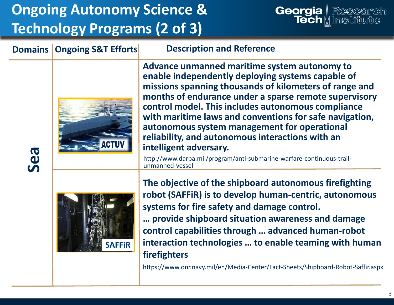# **Ongoing Autonomy Science & Technology Programs (2 of 3)**





**Domains Ongoing S&T Efforts**

**Advance unmanned maritime system autonomy to enable independently deploying systems capable of missions spanning thousands of kilometers of range and months of endurance under a sparse remote supervisory control model. This includes autonomous compliance with maritime laws and conventions for safe navigation, autonomous system management for operational reliability, and autonomous interactions with an intelligent adversary.**

http://www.darpa.mil/program/anti-submarine-warfare-continuous-trailunmanned-vessel

**Description and Reference**



**The objective of the shipboard autonomous firefighting robot (SAFFiR) is to develop human-centric, autonomous systems for fire safety and damage control. … provide shipboard situation awareness and damage control capabilities through … advanced human-robot interaction technologies … to enable teaming with human firefighters**

https://www.onr.navy.mil/en/Media-Center/Fact-Sheets/Shipboard-Robot-Saffir.aspx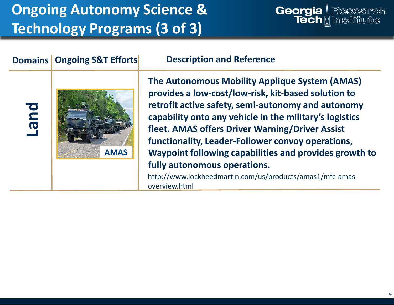# **Ongoing Autonomy Science & Technology Programs (3 of 3)**

#### Georgia | Research Tech M Institute

#### **Domains Ongoing S&T Efforts Land Description and Reference The Autonomous Mobility Applique System (AMAS) provides a low-cost/low-risk, kit-based solution to retrofit active safety, semi-autonomy and autonomy capability onto any vehicle in the military's logistics fleet. AMAS offers Driver Warning/Driver Assist functionality, Leader-Follower convoy operations, Waypoint following capabilities and provides growth to fully autonomous operations.** http://www.lockheedmartin.com/us/products/amas1/mfc-amas-**AMAS**

overview.html

4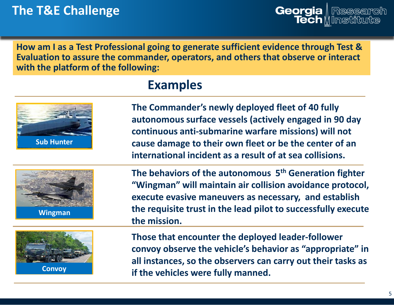**How am I as a Test Professional going to generate sufficient evidence through Test & Evaluation to assure the commander, operators, and others that observe or interact with the platform of the following:** 

#### **Examples**



**The Commander's newly deployed fleet of 40 fully autonomous surface vessels (actively engaged in 90 day continuous anti-submarine warfare missions) will not cause damage to their own fleet or be the center of an international incident as a result of at sea collisions.**



**Wingman**



**Convoy**

**The behaviors of the autonomous 5th Generation fighter "Wingman" will maintain air collision avoidance protocol, execute evasive maneuvers as necessary, and establish the requisite trust in the lead pilot to successfully execute the mission.**

**Those that encounter the deployed leader-follower convoy observe the vehicle's behavior as "appropriate" in all instances, so the observers can carry out their tasks as if the vehicles were fully manned.**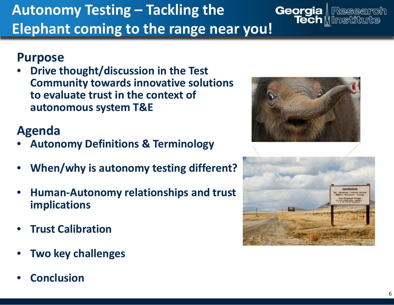#### **Autonomy Testing – Tackling the Georgia** | Research<br>Tech || Institute **Elephant coming to the range near you!**

#### **Purpose**

• **Drive thought/discussion in the Test Community towards innovative solutions to evaluate trust in the context of autonomous system T&E**

### **Agenda**

- **Autonomy Definitions & Terminology**
- **When/why is autonomy testing different?**
- **Human-Autonomy relationships and trust implications**
- **Trust Calibration**
- **Two key challenges**
- **Conclusion**



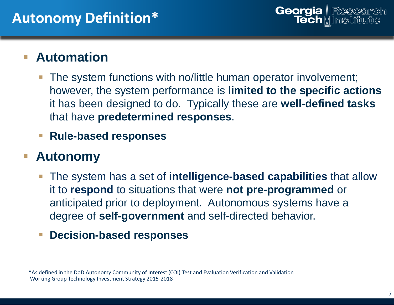#### **Automation**

- The system functions with no/little human operator involvement; however, the system performance is **limited to the specific actions**  it has been designed to do. Typically these are **well-defined tasks**  that have **predetermined responses**.
- **Rule-based responses**

#### **Autonomy**

- The system has a set of **intelligence-based capabilities** that allow it to **respond** to situations that were **not pre-programmed** or anticipated prior to deployment. Autonomous systems have a degree of **self-government** and self-directed behavior.
- **Decision-based responses**

\*As defined in the DoD Autonomy Community of Interest (COI) Test and Evaluation Verification and Validation Working Group Technology Investment Strategy 2015-2018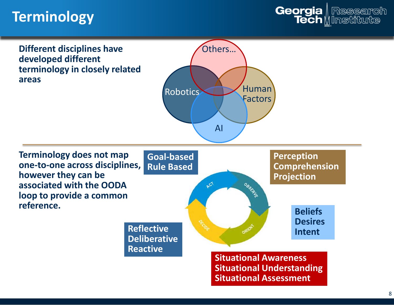## **Terminology**



**Different disciplines have developed different terminology in closely related areas**



**Terminology does not map one-to-one across disciplines, however they can be associated with the OODA loop to provide a common reference.**



**Situational Understanding Situational Assessment**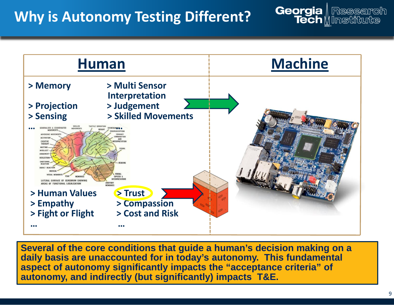## **Why is Autonomy Testing Different?**



**Several of the core conditions that guide a human's decision making on a daily basis are unaccounted for in today's autonomy. This fundamental aspect of autonomy significantly impacts the "acceptance criteria" of autonomy, and indirectly (but significantly) impacts T&E.**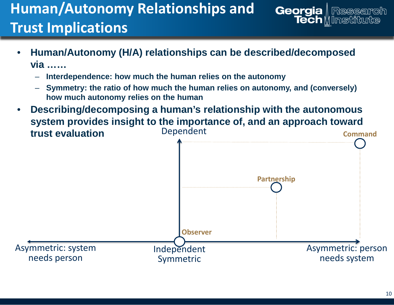- **Human/Autonomy (H/A) relationships can be described/decomposed via ……**
	- **Interdependence: how much the human relies on the autonomy**
	- **Symmetry: the ratio of how much the human relies on autonomy, and (conversely) how much autonomy relies on the human**
- Dependent • **Describing/decomposing a human's relationship with the autonomous system provides insight to the importance of, and an approach toward trust evaluation**



Georgia | Research

Tech M Institute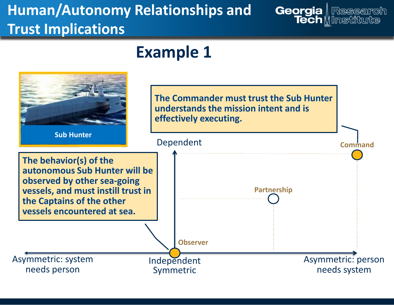## **Example 1**

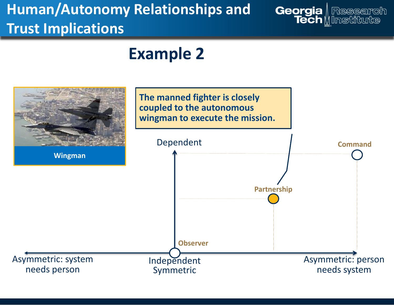## **Example 2**

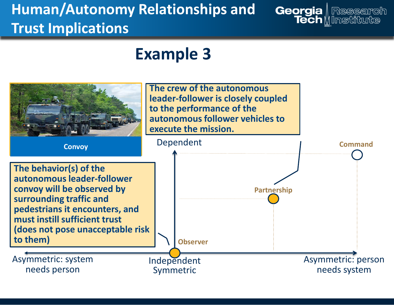## **Example 3**

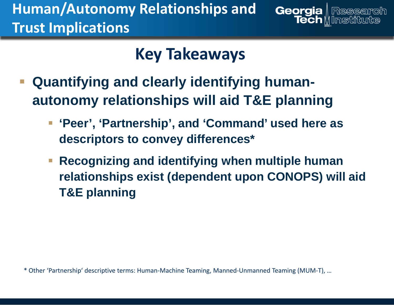# **Key Takeaways**

Georgia | Research

**Tech** M Institute

- **Quantifying and clearly identifying humanautonomy relationships will aid T&E planning**
	- **'Peer', 'Partnership', and 'Command' used here as descriptors to convey differences\***
	- **Recognizing and identifying when multiple human relationships exist (dependent upon CONOPS) will aid T&E planning**

\* Other 'Partnership' descriptive terms: Human-Machine Teaming, Manned-Unmanned Teaming (MUM-T), …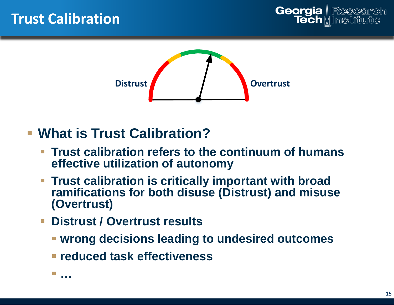![](_page_14_Picture_1.jpeg)

![](_page_14_Picture_2.jpeg)

- **What is Trust Calibration?**
	- **Trust calibration refers to the continuum of humans effective utilization of autonomy**
	- **Trust calibration is critically important with broad ramifications for both disuse (Distrust) and misuse (Overtrust)**
	- **Distrust / Overtrust results** 
		- **wrong decisions leading to undesired outcomes**
		- **reduced task effectiveness**

**…**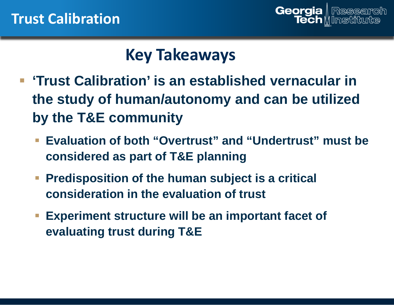![](_page_15_Picture_1.jpeg)

# **Key Takeaways**

- **F** 'Trust Calibration' is an established vernacular in **the study of human/autonomy and can be utilized by the T&E community**
	- **Evaluation of both "Overtrust" and "Undertrust" must be considered as part of T&E planning**
	- **Predisposition of the human subject is a critical consideration in the evaluation of trust**
	- **Experiment structure will be an important facet of evaluating trust during T&E**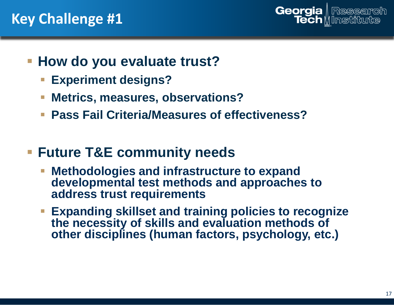## **Key Challenge #1**

![](_page_16_Picture_1.jpeg)

- **How do you evaluate trust?** 
	- **Experiment designs?**
	- **Metrics, measures, observations?**
	- **Pass Fail Criteria/Measures of effectiveness?**
- **Future T&E community needs**
	- **Methodologies and infrastructure to expand developmental test methods and approaches to address trust requirements**
	- **Expanding skillset and training policies to recognize the necessity of skills and evaluation methods of other disciplines (human factors, psychology, etc.)**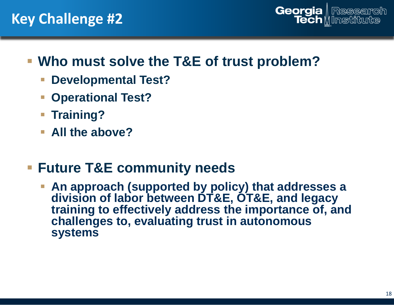### **Key Challenge #2**

![](_page_17_Picture_1.jpeg)

### **Who must solve the T&E of trust problem?**

- **Developmental Test?**
- **Operational Test?**
- **Training?**
- **All the above?**

### **Future T&E community needs**

 **An approach (supported by policy) that addresses a division of labor between DT&E, OT&E, and legacy training to effectively address the importance of, and challenges to, evaluating trust in autonomous systems**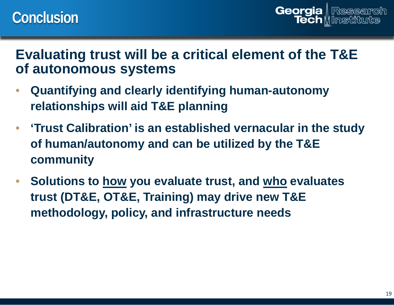Georgia | Research Tech M Institute

#### **Evaluating trust will be a critical element of the T&E of autonomous systems**

- **Quantifying and clearly identifying human-autonomy relationships will aid T&E planning**
- **'Trust Calibration' is an established vernacular in the study of human/autonomy and can be utilized by the T&E community**
- **Solutions to how you evaluate trust, and who evaluates trust (DT&E, OT&E, Training) may drive new T&E methodology, policy, and infrastructure needs**